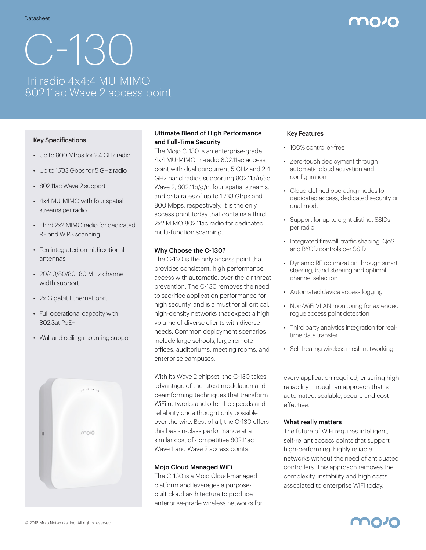# C-130 Tri radio 4x4:4 MU-MIMO 802.11ac Wave 2 access point

#### Key Specifications

- Up to 800 Mbps for 2.4 GHz radio
- Up to 1.733 Gbps for 5 GHz radio
- 802.11ac Wave 2 support
- 4x4 MU-MIMO with four spatial streams per radio
- Third 2x2 MIMO radio for dedicated RF and WIPS scanning
- Ten integrated omnidirectional antennas
- 20/40/80/80+80 MHz channel width support
- 2x Gigabit Ethernet port
- Full operational capacity with 802.3at PoE+
- Wall and ceiling mounting support



#### Ultimate Blend of High Performance and Full-Time Security

The Mojo C-130 is an enterprise-grade 4x4 MU-MIMO tri-radio 802.11ac access point with dual concurrent 5 GHz and 2.4 GHz band radios supporting 802.11a/n/ac Wave 2, 802.11b/g/n, four spatial streams, and data rates of up to 1.733 Gbps and 800 Mbps, respectively. It is the only access point today that contains a third 2x2 MIMO 802.11ac radio for dedicated multi-function scanning.

#### Why Choose the C-130?

The C-130 is the only access point that provides consistent, high performance access with automatic, over-the-air threat prevention. The C-130 removes the need to sacrifice application performance for high security, and is a must for all critical, high-density networks that expect a high volume of diverse clients with diverse needs. Common deployment scenarios include large schools, large remote offices, auditoriums, meeting rooms, and enterprise campuses.

With its Wave 2 chipset, the C-130 takes advantage of the latest modulation and beamforming techniques that transform WiFi networks and offer the speeds and reliability once thought only possible over the wire. Best of all, the C-130 offers this best-in-class performance at a similar cost of competitive 802.11ac Wave 1 and Wave 2 access points.

#### Mojo Cloud Managed WiFi

The C-130 is a Mojo Cloud-managed platform and leverages a purposebuilt cloud architecture to produce enterprise-grade wireless networks for

#### Key Features

- 100% controller-free
- Zero-touch deployment through automatic cloud activation and configuration
- Cloud-defined operating modes for dedicated access, dedicated security or dual-mode
- Support for up to eight distinct SSIDs per radio
- Integrated firewall, traffic shaping, QoS and BYOD controls per SSID
- Dynamic RF optimization through smart steering, band steering and optimal channel selection
- Automated device access logging
- Non-WiFi VLAN monitoring for extended rogue access point detection
- Third party analytics integration for realtime data transfer
- Self-healing wireless mesh networking

every application required, ensuring high reliability through an approach that is automated, scalable, secure and cost effective.

#### What really matters

The future of WiFi requires intelligent, self-reliant access points that support high-performing, highly reliable networks without the need of antiquated controllers. This approach removes the complexity, instability and high costs associated to enterprise WiFi today.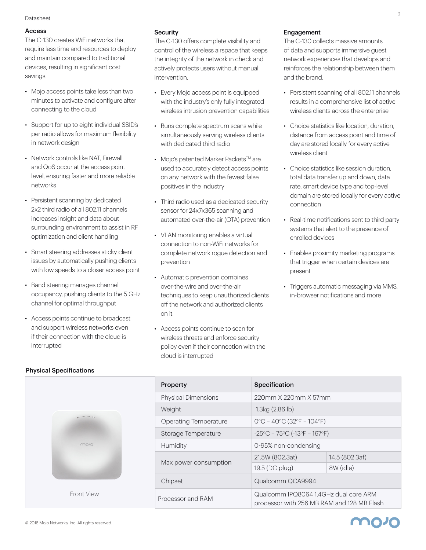#### Datasheet

#### Access

The C-130 creates WiFi networks that require less time and resources to deploy and maintain compared to traditional devices, resulting in significant cost savings.

- Mojo access points take less than two minutes to activate and configure after connecting to the cloud
- Support for up to eight individual SSID's per radio allows for maximum flexibility in network design
- Network controls like NAT, Firewall and QoS occur at the access point level, ensuring faster and more reliable networks
- Persistent scanning by dedicated 2x2 third radio of all 802.11 channels increases insight and data about surrounding environment to assist in RF optimization and client handling
- Smart steering addresses sticky client issues by automatically pushing clients with low speeds to a closer access point
- Band steering manages channel occupancy, pushing clients to the 5 GHz channel for optimal throughput
- Access points continue to broadcast and support wireless networks even if their connection with the cloud is interrupted

Physical Specifications

#### **Security**

The C-130 offers complete visibility and control of the wireless airspace that keeps the integrity of the network in check and actively protects users without manual intervention.

- Every Mojo access point is equipped with the industry's only fully integrated wireless intrusion prevention capabilities
- Runs complete spectrum scans while simultaneously serving wireless clients with dedicated third radio
- Moio's patented Marker Packets<sup>TM</sup> are used to accurately detect access points on any network with the fewest false positives in the industry
- Third radio used as a dedicated security sensor for 24x7x365 scanning and automated over-the-air (OTA) prevention
- VLAN monitoring enables a virtual connection to non-WiFi networks for complete network rogue detection and prevention
- Automatic prevention combines over-the-wire and over-the-air techniques to keep unauthorized clients off the network and authorized clients on it
- Access points continue to scan for wireless threats and enforce security policy even if their connection with the cloud is interrupted

#### Engagement

The C-130 collects massive amounts of data and supports immersive guest network experiences that develops and reinforces the relationship between them and the brand.

- Persistent scanning of all 802.11 channels results in a comprehensive list of active wireless clients across the enterprise
- Choice statistics like location, duration, distance from access point and time of day are stored locally for every active wireless client
- Choice statistics like session duration, total data transfer up and down, data rate, smart device type and top-level domain are stored locally for every active connection
- Real-time notifications sent to third party systems that alert to the presence of enrolled devices
- Enables proximity marketing programs that trigger when certain devices are present
- Triggers automatic messaging via MMS, in-browser notifications and more

moze



| <b>Property</b>              | <b>Specification</b>                                                                |                |
|------------------------------|-------------------------------------------------------------------------------------|----------------|
| <b>Physical Dimensions</b>   | 220mm X 220mm X 57mm                                                                |                |
| Weight                       | 1.3kg(2.86lb)                                                                       |                |
| <b>Operating Temperature</b> | $O^{\circ}C - 4O^{\circ}C(32^{\circ}F - 104^{\circ}F)$                              |                |
| Storage Temperature          | $-25^{\circ}$ C – 75 $^{\circ}$ C (-13 $^{\circ}$ F – 167 $^{\circ}$ F)             |                |
| Humidity                     | 0-95% non-condensing                                                                |                |
| Max power consumption        | 21.5W (802.3at)                                                                     | 14.5 (802.3af) |
|                              | 19.5 (DC plug)                                                                      | 8W (idle)      |
| Chipset                      | Qualcomm QCA9994                                                                    |                |
| Processor and RAM            | Qualcomm IPQ8064 1.4GHz dual core ARM<br>processor with 256 MB RAM and 128 MB Flash |                |

#### © 2018 Mojo Networks, Inc. All rights reserved.

#### 2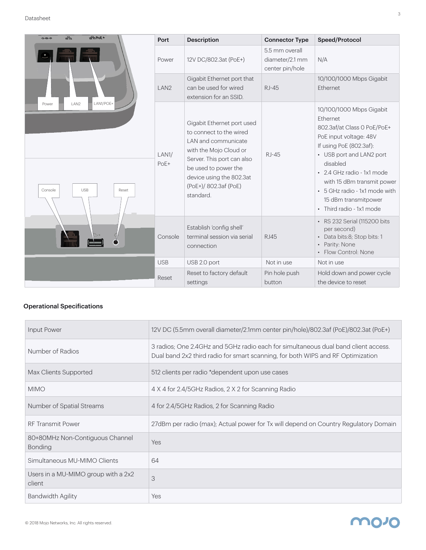#### Datasheet

| $+3$ or $\pm$<br>品<br>$\leftarrow \leftarrow \leftarrow$     | Port             | <b>Description</b>                                                                                                                                                                                                             | <b>Connector Type</b>                                | Speed/Protocol                                                                                                                                                                                                                                                                                                           |
|--------------------------------------------------------------|------------------|--------------------------------------------------------------------------------------------------------------------------------------------------------------------------------------------------------------------------------|------------------------------------------------------|--------------------------------------------------------------------------------------------------------------------------------------------------------------------------------------------------------------------------------------------------------------------------------------------------------------------------|
|                                                              | Power            | 12V DC/802.3at (PoE+)                                                                                                                                                                                                          | 5.5 mm overall<br>diameter/2.1 mm<br>center pin/hole | N/A                                                                                                                                                                                                                                                                                                                      |
|                                                              | LAN <sub>2</sub> | Gigabit Ethernet port that<br>can be used for wired<br>extension for an SSID.                                                                                                                                                  | $RJ-45$                                              | 10/100/1000 Mbps Gigabit<br><b>Fthernet</b>                                                                                                                                                                                                                                                                              |
| LAN1/POE+<br>LAN2<br>Power<br>Console<br><b>USB</b><br>Reset | LAN1/<br>PoE+    | Gigabit Ethernet port used<br>to connect to the wired<br>LAN and communicate<br>with the Mojo Cloud or<br>Server. This port can also<br>be used to power the<br>device using the 802.3at<br>(PoE+)/ 802.3af (PoE)<br>standard. | $RI-45$                                              | 10/100/1000 Mbps Gigabit<br><b>Fthernet</b><br>802.3af/at Class 0 PoE/PoE+<br>PoE input voltage: 48V<br>If using PoE (802.3af):<br>• USB port and LAN2 port<br>disabled<br>• 2.4 GHz radio - 1x1 mode<br>with 15 dBm transmit power<br>• 5 GHz radio - 1x1 mode with<br>15 dBm transmitpower<br>• Third radio - 1x1 mode |
|                                                              | Console          | Establish 'config shell'<br>terminal session via serial<br>connection                                                                                                                                                          | <b>RJ45</b>                                          | • RS 232 Serial (115200 bits<br>per second)<br>• Data bits:8; Stop bits: 1<br>Parity: None<br>• Flow Control: None                                                                                                                                                                                                       |
|                                                              | <b>USB</b>       | USB 2.0 port                                                                                                                                                                                                                   | Not in use                                           | Not in use                                                                                                                                                                                                                                                                                                               |
|                                                              | Reset            | Reset to factory default<br>settings                                                                                                                                                                                           | Pin hole push<br>button                              | Hold down and power cycle<br>the device to reset                                                                                                                                                                                                                                                                         |

### Operational Specifications

| <b>Input Power</b>                                | 12V DC (5.5mm overall diameter/2.1mm center pin/hole)/802.3af (PoE)/802.3at (PoE+)                                                                                    |
|---------------------------------------------------|-----------------------------------------------------------------------------------------------------------------------------------------------------------------------|
| Number of Radios                                  | 3 radios; One 2.4GHz and 5GHz radio each for simultaneous dual band client access.<br>Dual band 2x2 third radio for smart scanning, for both WIPS and RF Optimization |
| Max Clients Supported                             | 512 clients per radio *dependent upon use cases                                                                                                                       |
| <b>MIMO</b>                                       | 4 X 4 for 2.4/5GHz Radios, 2 X 2 for Scanning Radio                                                                                                                   |
| Number of Spatial Streams                         | 4 for 2.4/5GHz Radios, 2 for Scanning Radio                                                                                                                           |
| <b>RF Transmit Power</b>                          | 27dBm per radio (max); Actual power for Tx will depend on Country Regulatory Domain                                                                                   |
| 80+80MHz Non-Contiguous Channel<br><b>Bonding</b> | Yes                                                                                                                                                                   |
| Simultaneous MU-MIMO Clients                      | 64                                                                                                                                                                    |
| Users in a MU-MIMO group with a 2x2<br>client     | 3                                                                                                                                                                     |
| Bandwidth Agility                                 | Yes                                                                                                                                                                   |

### **MO10**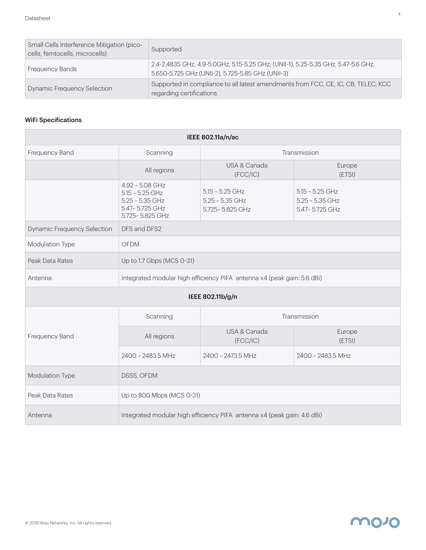| Small Cells Interference Mitigation (pico-<br>cells, femtocells, microcells) | Supported                                                                                                                              |
|------------------------------------------------------------------------------|----------------------------------------------------------------------------------------------------------------------------------------|
| <b>Frequency Bands</b>                                                       | 2.4-2.4835 GHz, 4.9-5.0GHz, 5.15-5.25 GHz; (UNII-1), 5.25-5.35 GHz, 5.47-5.6 GHz,<br>5.650-5.725 GHz (UNII-2), 5.725-5.85 GHz (UNII-3) |
| <b>Dynamic Frequency Selection</b>                                           | Supported in compliance to all latest amendments from FCC, CE, IC, CB, TELEC, KCC<br>regarding certifications.                         |

#### WiFi Specifications

| IEEE 802.11a/n/ac           |                                                                                                |                                                           |                                                          |  |
|-----------------------------|------------------------------------------------------------------------------------------------|-----------------------------------------------------------|----------------------------------------------------------|--|
| Frequency Band              | Transmission<br>Scanning                                                                       |                                                           |                                                          |  |
|                             | All regions                                                                                    | USA & Canada<br>(FCC/IC)                                  | Europe<br>(ETSI)                                         |  |
|                             | 4.92 ~ 5.08 GHz<br>$5.15 - 5.25$ GHz<br>$5.25 - 5.35$ GHz<br>5.47~5.725 GHz<br>5.725~5.825 GHz | $5.15 - 5.25$ GHz<br>$5.25 - 5.35$ GHz<br>5.725~5.825 GHz | $5.15 - 5.25$ GHz<br>$5.25 - 5.35$ GHz<br>5.47~5.725 GHz |  |
| Dynamic Frequency Selection | DFS and DFS2                                                                                   |                                                           |                                                          |  |
| Modulation Type             | <b>OFDM</b>                                                                                    |                                                           |                                                          |  |
| Peak Data Rates             | Up to 1.7 Gbps (MCS 0-31)                                                                      |                                                           |                                                          |  |
| Antenna                     | Integrated modular high efficiency PIFA antenna x4 (peak gain: 5.6 dBi)                        |                                                           |                                                          |  |
| IEEE 802.11b/g/n            |                                                                                                |                                                           |                                                          |  |
|                             | Scanning<br>Transmission                                                                       |                                                           |                                                          |  |
| Frequency Band              | All regions                                                                                    | USA & Canada<br>(FCC/IC)                                  | Europe<br>(ETSI)                                         |  |
|                             | 2400 ~ 2483.5 MHz                                                                              | 2400 ~ 2473.5 MHz                                         | 2400 ~ 2483.5 MHz                                        |  |
| Modulation Type             | DSSS, OFDM                                                                                     |                                                           |                                                          |  |
| Peak Data Rates             | Up to 800 Mbps (MCS 0-31)                                                                      |                                                           |                                                          |  |
| Antenna                     | Integrated modular high efficiency PIFA antenna x4 (peak gain: 4.6 dBi)                        |                                                           |                                                          |  |

### **movo**

4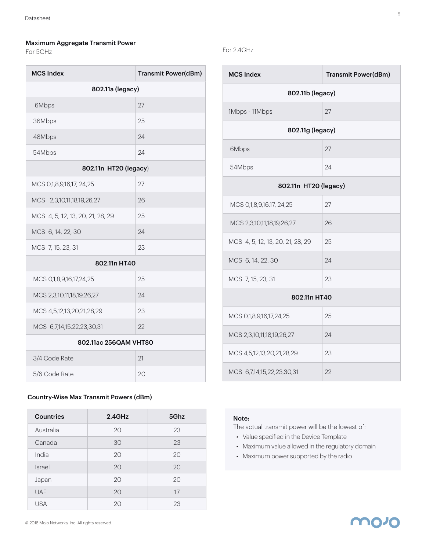#### Maximum Aggregate Transmit Power

For 5GHz

| <b>MCS Index</b>                 | <b>Transmit Power(dBm)</b> |  |
|----------------------------------|----------------------------|--|
| 802.11a (legacy)                 |                            |  |
| 6Mbps                            | 27                         |  |
| 36Mbps                           | 25                         |  |
| 48Mbps                           | 24                         |  |
| 54Mbps                           | 24                         |  |
| 802.11n HT20 (legacy)            |                            |  |
| MCS 0,1,8,9,16,17, 24,25         | 27                         |  |
| MCS 2,3,10,11,18,19,26,27        | 26                         |  |
| MCS 4, 5, 12, 13, 20, 21, 28, 29 | 25                         |  |
| MCS 6, 14, 22, 30                | 24                         |  |
| MCS 7, 15, 23, 31                | 23                         |  |
| 802.11n HT40                     |                            |  |
| MCS 0,1,8,9,16,17,24,25          | 25                         |  |
| MCS 2,3,10,11,18,19,26,27        | 24                         |  |
| MCS 4,5,12,13,20,21,28,29        | 23                         |  |
| MCS 6,7,14,15,22,23,30,31        | 22                         |  |
| 802.11ac 256QAM VHT80            |                            |  |
| 3/4 Code Rate                    | 21                         |  |
| 5/6 Code Rate                    | 20                         |  |

#### Country-Wise Max Transmit Powers (dBm)

| <b>Countries</b> | $2.4$ GHz | 5Ghz |
|------------------|-----------|------|
| Australia        | 20        | 23   |
| Canada           | 30        | 23   |
| India            | 20        | 20   |
| Israel           | 20        | 20   |
| Japan            | 20        | 20   |
| <b>UAE</b>       | 20        | 17   |
| <b>USA</b>       | 20        | 23   |

#### For 2.4GHz

| <b>MCS Index</b>                 | <b>Transmit Power(dBm)</b> |  |
|----------------------------------|----------------------------|--|
| 802.11b (legacy)                 |                            |  |
| 1Mbps - 11Mbps                   | 27                         |  |
| 802.11g (legacy)                 |                            |  |
| 6Mbps                            | 27                         |  |
| 54Mbps                           | 24                         |  |
| 802.11n HT20 (legacy)            |                            |  |
| MCS 0,1,8,9,16,17, 24,25         | 27                         |  |
| MCS 2,3,10,11,18,19,26,27        | 26                         |  |
| MCS 4, 5, 12, 13, 20, 21, 28, 29 | 25                         |  |
| MCS 6, 14, 22, 30                | 24                         |  |
| MCS 7, 15, 23, 31                | 23                         |  |
| 802.11n HT40                     |                            |  |
| MCS 0,1,8,9,16,17,24,25          | 25                         |  |
| MCS 2,3,10,11,18,19,26,27        | 24                         |  |
| MCS 4,5,12,13,20,21,28,29        | 23                         |  |
| MCS 6,7,14,15,22,23,30,31        | 22                         |  |

#### Note:

The actual transmit power will be the lowest of:

- Value specified in the Device Template
- Maximum value allowed in the regulatory domain
- Maximum power supported by the radio

## **MO10**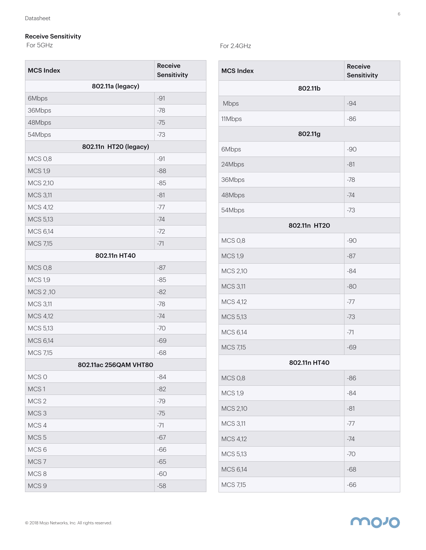#### Receive Sensitivity

For 5GHz

| <b>MCS Index</b>      | Receive<br><b>Sensitivity</b> |  |
|-----------------------|-------------------------------|--|
| 802.11a (legacy)      |                               |  |
| 6Mbps                 | $-91$                         |  |
| 36Mbps                | $-78$                         |  |
| 48Mbps                | $-75$                         |  |
| 54Mbps                | $-73$                         |  |
| 802.11n HT20 (legacy) |                               |  |
| <b>MCS 0,8</b>        | $-91$                         |  |
| <b>MCS 1,9</b>        | $-88$                         |  |
| <b>MCS 2,10</b>       | $-85$                         |  |
| <b>MCS 3,11</b>       | $-81$                         |  |
| <b>MCS 4,12</b>       | $-77$                         |  |
| <b>MCS 5,13</b>       | $-74$                         |  |
| <b>MCS 6,14</b>       | $-72$                         |  |
| <b>MCS 7,15</b>       | $-71$                         |  |
| 802.11n HT40          |                               |  |
| <b>MCS 0,8</b>        | $-87$                         |  |
| <b>MCS 1,9</b>        | $-85$                         |  |
| MCS 2,10              | $-82$                         |  |
| <b>MCS 3,11</b>       | $-78$                         |  |
| <b>MCS 4,12</b>       | $-74$                         |  |
| MCS 5,13              | $-70$                         |  |
| <b>MCS 6,14</b>       | $-69$                         |  |
| <b>MCS 7,15</b>       | -68                           |  |
| 802.11ac 256QAM VHT80 |                               |  |
| MCS 0                 | $-84$                         |  |
| MCS1                  | $-82$                         |  |
| MCS <sub>2</sub>      | $-79$                         |  |
| MCS <sub>3</sub>      | $-75$                         |  |
| MCS 4                 | $-71$                         |  |
| MCS <sub>5</sub>      | $-67$                         |  |
| MCS <sub>6</sub>      | $-66$                         |  |
| MCS <sub>7</sub>      | $-65$                         |  |
| MCS8                  | $-60$                         |  |
| MCS <sub>9</sub>      | $-58$                         |  |

### For 2.4GHz

| <b>MCS Index</b> | Receive<br>Sensitivity |
|------------------|------------------------|
| 802.11b          |                        |
| Mbps             | $-94$                  |
| 11Mbps           | $-86$                  |
| 802.11g          |                        |
| 6Mbps            | $-90$                  |
| 24Mbps           | $-81$                  |
| 36Mbps           | $-78$                  |
| 48Mbps           | $-74$                  |
| 54Mbps           | $-73$                  |
| 802.11n HT20     |                        |
| <b>MCS 0,8</b>   | $-90$                  |
| <b>MCS 1,9</b>   | $-87$                  |
| MCS 2,10         | $-84$                  |
| <b>MCS 3,11</b>  | $-80$                  |
| MCS 4,12         | $-77$                  |
| MCS 5,13         | $-73$                  |
| MCS 6,14         | $-71$                  |
| <b>MCS 7,15</b>  | $-69$                  |
| 802.11n HT40     |                        |
| <b>MCS 0,8</b>   | $-86$                  |
| <b>MCS 1,9</b>   | $-84$                  |
| <b>MCS 2,10</b>  | $-81$                  |
| <b>MCS 3,11</b>  | $-77$                  |
| MCS 4,12         | $-74$                  |
| MCS 5,13         | $-70$                  |
| MCS 6,14         | $-68$                  |
| <b>MCS 7,15</b>  | $-66$                  |

**molo**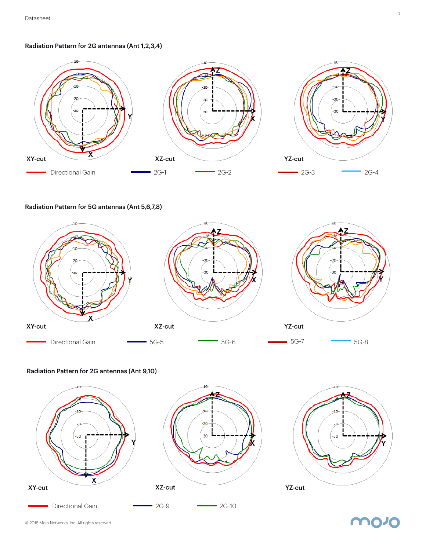Radiation Pattern for 2G antennas (Ant 1,2,3,4)



Radiation Pattern for 5G antennas (Ant 5,6,7,8)



#### Radiation Pattern for 2G antennas (Ant 9,10)





molo

7

© 2018 Mojo Networks, Inc. All rights reserved.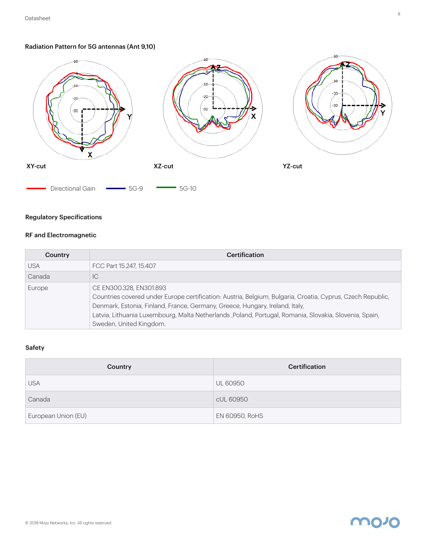#### Radiation Pattern for 5G antennas (Ant 9,10)



#### Regulatory Specifications

#### RF and Electromagnetic

| Country    | <b>Certification</b>                                                                                                                                                                                                                                                                                                                                       |
|------------|------------------------------------------------------------------------------------------------------------------------------------------------------------------------------------------------------------------------------------------------------------------------------------------------------------------------------------------------------------|
| <b>USA</b> | FCC Part 15.247, 15.407                                                                                                                                                                                                                                                                                                                                    |
| Canada     | ТC                                                                                                                                                                                                                                                                                                                                                         |
| Europe     | CE EN300.328, EN301.893<br>Countries covered under Europe certification: Austria, Belgium, Bulgaria, Croatia, Cyprus, Czech Republic,<br>Denmark, Estonia, Finland, France, Germany, Greece, Hungary, Ireland, Italy,<br>Latvia, Lithuania Luxembourg, Malta Netherlands ,Poland, Portugal, Romania, Slovakia, Slovenia, Spain,<br>Sweden, United Kingdom. |

#### Safety

| Country             | Certification   |
|---------------------|-----------------|
| <b>USA</b>          | <b>UL 60950</b> |
| Canada              | cUL 60950       |
| European Union (EU) | EN 60950, RoHS  |



molo